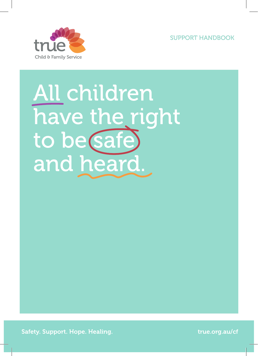SUPPORT HANDBOOK



# All children have the right to be safe and heard.

Safety. Support. Hope. Healing. The contract of the contract of true.org.au/cf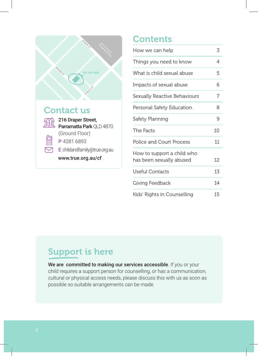

### **Contents**

| How we can help                                        | 3  |
|--------------------------------------------------------|----|
| Things you need to know                                | 4  |
| What is child sexual abuse                             | 5  |
| Impacts of sexual abuse                                | 6  |
| Sexually Reactive Behaviours                           | 7  |
| Personal Safety Education                              | 8  |
| Safety Planning                                        | 9  |
| The Facts                                              | 10 |
| Police and Court Process                               | 11 |
| How to support a child who<br>has been sexually abused | 12 |
| Useful Contacts                                        | 13 |
| Giving Feedback                                        | 14 |
| Kids' Rights in Counselling                            | 15 |

### Support is here

We are committed to making our services accessible. If you or your child requires a support person for counselling, or has a communication, cultural or physical access needs, please discuss this with us as soon as possible so suitable arrangements can be made.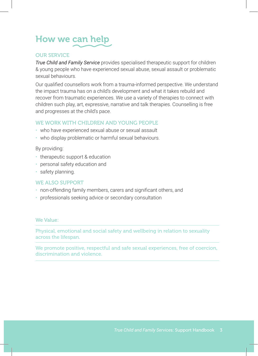# How we can help

#### OUR SERVICE

*True Child and Family Service* provides specialised therapeutic support for children & young people who have experienced sexual abuse, sexual assault or problematic sexual behaviours.

Our qualified counsellors work from a trauma-informed perspective. We understand the impact trauma has on a child's development and what it takes rebuild and recover from traumatic experiences. We use a variety of therapies to connect with children such play, art, expressive, narrative and talk therapies. Counselling is free and progresses at the child's pace.

#### WE WORK WITH CHILDREN AND YOUNG PEOPLE

- who have experienced sexual abuse or sexual assault
- who display problematic or harmful sexual behaviours.

By providing:

- therapeutic support & education
- personal safety education and
- safety planning.

#### WE ALSO SUPPORT

- non-offending family members, carers and significant others, and
- professionals seeking advice or secondary consultation

#### We Value:

Physical, emotional and social safety and wellbeing in relation to sexuality across the lifespan.

We promote positive, respectful and safe sexual experiences, free of coercion, discrimination and violence.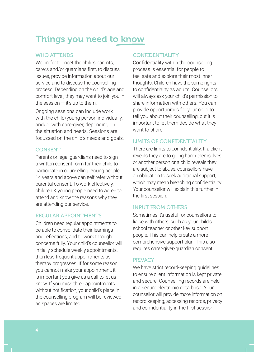### Things you need to know

#### WHO ATTENDS

We prefer to meet the child's parents, carers and/or guardians first, to discuss issues, provide information about our service and to discuss the counselling process. Depending on the child's age and comfort level, they may want to join you in the session  $-$  it's up to them.

Ongoing sessions can include work with the child/young person individually, and/or with care-giver, depending on the situation and needs. Sessions are focussed on the child's needs and goals.

#### **CONSENT**

Parents or legal guardians need to sign a written consent form for their child to participate in counselling. Young people 14 years and above can self refer without parental consent. To work effectively, children & young people need to agree to attend and know the reasons why they are attending our service.

#### REGULAR APPOINTMENTS

Children need regular appointments to be able to consolidate their learnings and reflections, and to work through concerns fully. Your child's counsellor will initially schedule weekly appointments, then less frequent appointments as therapy progresses. If for some reason you cannot make your appointment, it is important you give us a call to let us know. If you miss three appointments without notification, your child's place in the counselling program will be reviewed as spaces are limited.

#### **CONFIDENTIALITY**

Confidentiality within the counselling process is essential for people to feel safe and explore their most inner thoughts. Children have the same rights to confidentiality as adults. Counsellors will always ask your child's permission to share information with others. You can provide opportunities for your child to tell you about their counselling, but it is important to let them decide what they want to share

#### LIMITS OF CONFIDENTIALITY

There are limits to confidentiality. If a client reveals they are to going harm themselves or another person or a child reveals they are subject to abuse, counsellors have an obligation to seek additional support, which may mean breaching confidentiality. Your counsellor will explain this further in the first session.

#### INPUT FROM OTHERS

Sometimes it's useful for counsellors to liaise with others, such as your child's school teacher or other key support people. This can help create a more comprehensive support plan. This also requires carer-giver/guardian consent.

#### **PRIVACY**

We have strict record-keeping guidelines to ensure client information is kept private and secure. Counselling records are held in a secure electronic data base. Your counsellor will provide more information on record keeping, accessing records, privacy and confidentiality in the first session.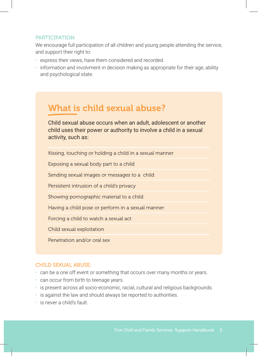#### PARTICIPATION

We encourage full participation of all children and young people attending the service, and support their right to:

- express their views, have them considered and recorded.
- information and involvment in decision making as appropriate for their age, ability and psychological state.

### What is child sexual abuse?

Child sexual abuse occurs when an adult, adolescent or another child uses their power or authority to involve a child in a sexual activity, such as:

Kissing, touching or holding a child in a sexual manner

Exposing a sexual body part to a child

Sending sexual images or messages to a child

Persistent intrusion of a child's privacy

Showing pornographic material to a child

Having a child pose or perform in a sexual manner

Forcing a child to watch a sexual act

Child sexual exploitation

Penetration and/or oral sex

#### CHILD SEXUAL ABUSE:

- can be a one off event or something that occurs over many months or years.
- can occur from birth to teenage years.
- is present across all socio-economic, racial, cultural and religious backgrounds.
- is against the law and should always be reported to authorities.
- is never a child's fault.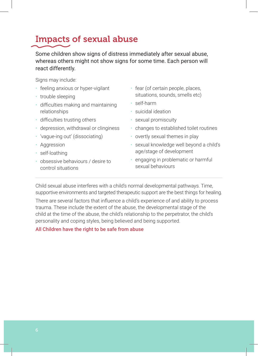### Impacts of sexual abuse

Some children show signs of distress immediately after sexual abuse, whereas others might not show signs for some time. Each person will react differently.

Signs may include:

- feeling anxious or hyper-vigilant
- trouble sleeping
- difficulties making and maintaining relationships
- difficulties trusting others
- depression, withdrawal or clinginess
- 'vague-ing out' (dissociating)
- Aggression
- self-loathing
- obsessive behaviours / desire to control situations
- fear (of certain people, places, situations, sounds, smells etc)
- self-harm
- suicidal ideation
- sexual promiscuity
- changes to established toilet routines
- overtly sexual themes in play
- sexual knowledge well beyond a child's age/stage of development
- engaging in problematic or harmful sexual behaviours

Child sexual abuse interferes with a child's normal developmental pathways. Time, supportive environments and targeted therapeutic support are the best things for healing.

There are several factors that influence a child's experience of and ability to process trauma. These include the extent of the abuse, the developmental stage of the child at the time of the abuse, the child's relationship to the perpetrator, the child's personality and coping styles, being believed and being supported.

#### All Children have the right to be safe from abuse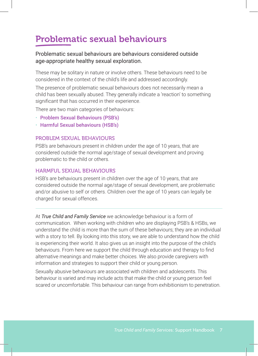### Problematic sexual behaviours

#### Problematic sexual behaviours are behaviours considered outside age-appropriate healthy sexual exploration.

These may be solitary in nature or involve others. These behaviours need to be considered in the context of the child's life and addressed accordingly.

The presence of problematic sexual behaviours does not necessarily mean a child has been sexually abused. They generally indicate a 'reaction' to something significant that has occurred in their experience.

There are two main categories of behaviours:

- Problem Sexual Behaviours (PSB's)
- Harmful Sexual behaviours (HSB's)

#### PROBLEM SEXUAL BEHAVIOURS

PSB's are behaviours present in children under the age of 10 years, that are considered outside the normal age/stage of sexual development and proving problematic to the child or others.

#### HARMFUL SEXUAL BEHAVIOURS

HSB's are behaviours present in children over the age of 10 years, that are considered outside the normal age/stage of sexual development, are problematic and/or abusive to self or others. Children over the age of 10 years can legally be charged for sexual offences.

At *True Child and Family Service* we acknowledge behaviour is a form of communication. When working with children who are displaying PSB's & HSBs, we understand the child is more than the sum of these behaviours; they are an individual with a story to tell. By looking into this story, we are able to understand how the child is experiencing their world. It also gives us an insight into the purpose of the child's behaviours. From here we support the child through education and therapy to find alternative meanings and make better choices. We also provide caregivers with information and strategies to support their child or young person.

Sexually abusive behaviours are associated with children and adolescents. This behaviour is varied and may include acts that make the child or young person feel scared or uncomfortable. This behaviour can range from exhibitionism to penetration.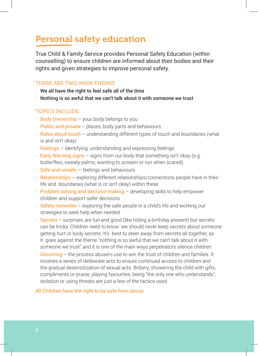### Personal safety education

True Child & Family Service provides Personal Safety Education (within counselling) to ensure children are informed about their bodies and their rights and given strategies to improve personal safety.

#### THERE ARE TWO MAIN THEMES

- We all have the right to feel safe all of the time
- Nothing is so awful that we can't talk about it with someone we trust

#### TOPICS INCLUDE:

- Body Ownership your body belongs to you
- $\cdot$  Public and private places, body parts and behaviours
- Rules about touch understanding different types of touch and boundaries (what is and isn't okay)
- $\cdot$  Feelings identifying, understanding and expressing feelings
- $\cdot$  Early Warning signs signs from our body that something isn't okay (e.g. butterflies, sweaty palms, wanting to scream or run when scared)
- $\cdot$  Safe and unsafe  $-$  feelings and behaviours
- Relationships exploring different relationships/connections people have in their life and boundaries (what is or isn't okay) within these
- $\cdot$  Problem solving and decision making  $-$  developing skills to help empower children and support safer decisions
- Safety networks  $-$  exploring the safe people in a child's life and working out strategies to seek help when needed
- Secrets surprises are fun and good (like hiding a birthday present) but secrets can be tricky. Children need to know we should never keep secrets about someone getting hurt or body secrets. It's best to steer away from secrets all together, as it goes against the theme "nothing is so awful that we can't talk about it with someone we trust" and it is one of the main ways perpetrators silence children.
- $\cdot$  Grooming the process abusers use to win the trust of children and families. It involves a series of deliberate acts to ensure continued access to children and the gradual desensitization of sexual acts. Bribery, showering the child with gifts, compliments or praise, playing favourites, being "the only one who understands", isolation or using threats are just a few of the tactics used.

#### All Children have the right to be safe from abuse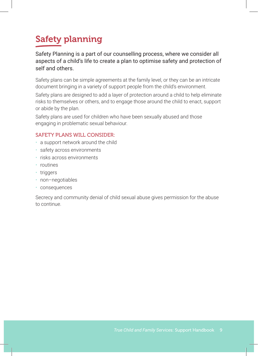# Safety planning

Safety Planning is a part of our counselling process, where we consider all aspects of a child's life to create a plan to optimise safety and protection of self and others.

Safety plans can be simple agreements at the family level, or they can be an intricate document bringing in a variety of support people from the child's environment.

Safety plans are designed to add a layer of protection around a child to help eliminate risks to themselves or others, and to engage those around the child to enact, support or abide by the plan.

Safety plans are used for children who have been sexually abused and those engaging in problematic sexual behaviour.

#### SAFETY PLANS WILL CONSIDER:

- a support network around the child
- safety across environments
- risks across environments
- routines
- triggers
- non–negotiables
- consequences

Secrecy and community denial of child sexual abuse gives permission for the abuse to continue.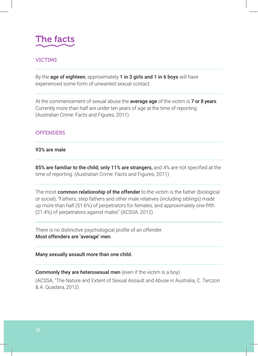

#### VICTIMS

By the age of eighteen, approximately 1 in 3 girls and 1 in 6 boys will have experienced some form of unwanted sexual contact.

At the commencement of sexual abuse the **average age** of the victim is **7 or 8 years**. Currently more than half are under ten years of age at the time of reporting. (Australian Crime: Facts and Figures, 2011).

#### **OFFENDERS**

93% are male

85% are familiar to the child; only 11% are strangers, and 4% are not specified at the time of reporting. (Australian Crime: Facts and Figures, 2011)

The most common relationship of the offender to the victim is the father (biological or social); "Fathers, step-fathers and other male relatives (including siblings) made up more than half (51.6%) of perpetrators for females, and approximately one-fifth (21.4%) of perpetrators against males" (ACSSA: 2012)

There is no distinctive psychological profile of an offender. Most offenders are 'average' men.

Many sexually assault more than one child.

Commonly they are heterosexual men (even if the victim is a boy)

(ACSSA, "The Nature and Extent of Sexual Assault and Abuse in Australia, C. Tarczon & A. Quadara, 2012)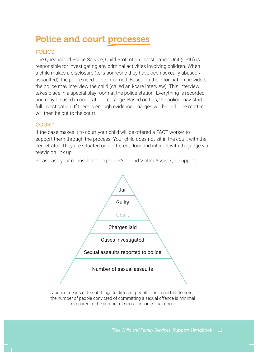### Police and court processes

#### POLICE

The Queensland Police Service, Child Protection Investigation Unit (CPIU) is responsible for investigating any criminal activities involving children. When a child makes a disclosure (tells someone they have been sexually abused / assaulted), the police need to be informed. Based on the information provided, the police may interview the child (called an i-care interview). This interview takes place in a special play room at the police station. Everything is recorded and may be used in court at a later stage. Based on this, the police may start a full investigation. If there is enough evidence, charges will be laid. The matter will then be put to the court.

#### **COURT**

If the case makes it to court your child will be offered a PACT worker to support them through the process. Your child does not sit in the court with the perpetrator. They are situated on a different floor and interact with the judge via television link up.

Please ask your counsellor to explain PACT and Victim Assist Qld support.



Justice means different things to different people. It is important to note, the number of people convicted of committing a sexual offence is minimal compared to the number of sexual assaults that occur.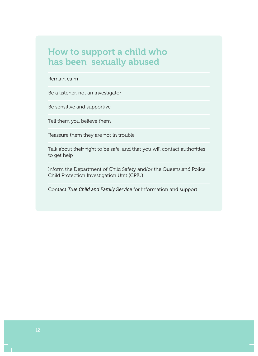### How to support a child who has been sexually abused

#### Remain calm

Be a listener, not an investigator

Be sensitive and supportive

Tell them you believe them

Reassure them they are not in trouble

Talk about their right to be safe, and that you will contact authorities to get help

Inform the Department of Child Safety and/or the Queensland Police Child Protection Investigation Unit (CPIU)

Contact *True Child and Family Service* for information and support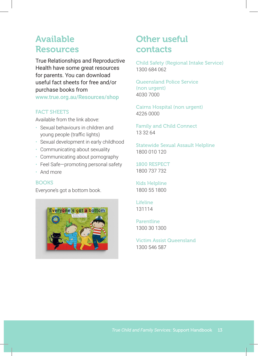### Available Resources

True Relationships and Reproductive Health have some great resources for parents. You can download useful fact sheets for free and/or purchase books from www.true.org.au/Resources/shop

#### FACT SHEETS

Available from the link above:

- Sexual behaviours in children and young people (traffic lights)
- Sexual development in early childhood
- Communicating about sexuality
- Communicating about pornography
- Feel Safe—promoting personal safety
- And more

#### **BOOKS**

Everyone's got a bottom book.



### Other useful contacts

Child Safety (Regional Intake Service) 1300 684 062

Queensland Police Service (non urgent) 4030 7000

Cairns Hospital (non urgent) 4226 0000

Family and Child Connect 13 32 64

Statewide Sexual Assault Helpline 1800 010 120

1800 RESPECT 1800 737 732

Kids Helpline 1800 55 1800

Lifeline 131114

Parentline 1300 30 1300

Victim Assist Queensland 1300 546 587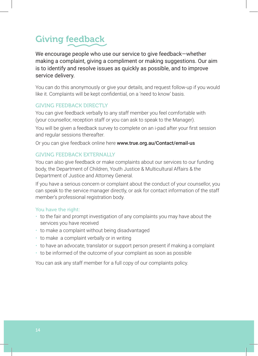# Giving feedback

We encourage people who use our service to give feedback—whether making a complaint, giving a compliment or making suggestions. Our aim is to identify and resolve issues as quickly as possible, and to improve service delivery.

You can do this anonymously or give your details, and request follow-up if you would like it. Complaints will be kept confidential, on a 'need to know' basis.

#### **GIVING FEEDBACK DIRECTLY**

You can give feedback verbally to any staff member you feel comfortable with (your counsellor, reception staff or you can ask to speak to the Manager).

You will be given a feedback survey to complete on an i-pad after your first session and regular sessions thereafter.

Or you can give feedback online here www.true.org.au/Contact/email-us

#### GIVING FEEDBACK EXTERNALLY

You can also give feedback or make complaints about our services to our funding body, the Department of Children, Youth Justice & Multicultural Affairs & the Department of Justice and Attorney General.

If you have a serious concern or complaint about the conduct of your counsellor, you can speak to the service manager directly, or ask for contact information of the staff member's professional registration body.

#### You have the right:

- to the fair and prompt investigation of any complaints you may have about the services you have received
- to make a complaint without being disadvantaged
- to make a complaint verbally or in writing
- to have an advocate, translator or support person present if making a complaint
- to be informed of the outcome of your complaint as soon as possible

You can ask any staff member for a full copy of our complaints policy.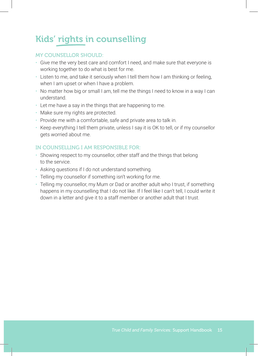# Kids' rights in counselling

#### MY COUNSELLOR SHOULD:

- Give me the very best care and comfort I need, and make sure that everyone is working together to do what is best for me.
- Listen to me, and take it seriously when I tell them how I am thinking or feeling, when I am upset or when I have a problem.
- No matter how big or small I am, tell me the things I need to know in a way I can understand.
- Let me have a say in the things that are happening to me.
- Make sure my rights are protected.
- Provide me with a comfortable, safe and private area to talk in.
- Keep everything I tell them private, unless I say it is OK to tell, or if my counsellor gets worried about me.

#### IN COUNSELLING I AM RESPONSIBLE FOR:

- Showing respect to my counsellor, other staff and the things that belong to the service.
- Asking questions if I do not understand something.
- Telling my counsellor if something isn't working for me.
- Telling my counsellor, my Mum or Dad or another adult who I trust, if something happens in my counselling that I do not like. If I feel like I can't tell, I could write it down in a letter and give it to a staff member or another adult that I trust.